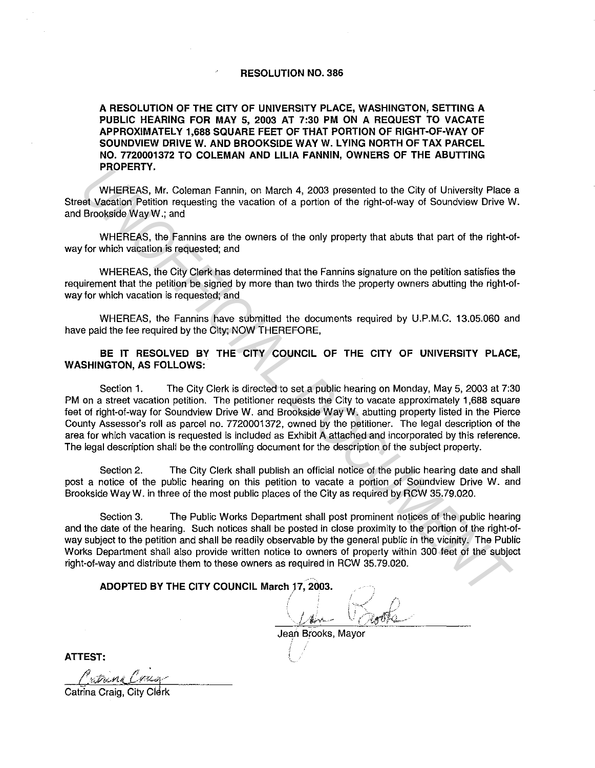## **RESOLUTION NO. 386**

**A RESOLUTION OF THE CITY OF UNIVERSITY PLACE, WASHINGTON, SETTING A PUBLIC HEARING FOR MAY 5, 2003 AT 7:30 PM ON A REQUEST TO VACATE APPROXIMATELY 1,688 SQUARE FEET OF THAT PORTION OF RIGHT-OF-WAY OF SOUNDVIEW DRIVE W. AND BROOKSIDE WAY W. LYING NORTH OF TAX PARCEL NO. 7720001372 TO COLEMAN AND LILIA FANNIN, OWNERS OF THE ABUTTING PROPERTY.** 

WHEREAS, Mr. Coleman Fannin, on March 4, 2003 presented to the City of University Place a Street Vacation Petition requesting the vacation of a portion of the right-of-way of Soundview Drive W. and Brookside WayW.; and

WHEREAS, the Fannins are the owners of the only property that abuts that part of the right-ofway for which vacation is requested; and

WHEREAS, the City Clerk has determined that the Fannins signature on the petition satisfies the requirement that the petition be signed by more than two thirds the property owners abutting the right-ofway for which vacation is requested; and

WHEREAS, the Fannins have submitted the documents required by U.P.M.C. 13.05.060 and have paid the fee required by the City; NOW THEREFORE,

## **BE IT RESOLVED BY THE CITY COUNCIL OF THE CITY OF UNIVERSITY PLACE, WASHINGTON, AS FOLLOWS:**

Section 1. The City Clerk is directed to set a public hearing on Monday, May 5, 2003 at 7:30 PM on a street vacation petition. The petitioner requests the City to vacate approximately 1,688 square feet of right-of-way for Soundview Drive W. and Brookside Way W. abutting property listed in the Pierce County Assessor's roll as parcel no. 7720001372, owned by the petitioner. The legal description of the area for which vacation is requested is included as Exhibit A attached and incorporated by this reference. The legal description shall be the controlling document for the description of the subject property. **PHOPERT 1.**<br> **UNHEREAS, Mr. Coleman Famini, on March 4, 2003 presented to the City of University Place<br>
IB Vacation Petition requesting the vacation of a portion of the right-of-way of Soundview Drive<br>
WHEREAS, the Granin** 

Section 2. The City Clerk shall publish an official notice of the public hearing date and shall post a notice of the public hearing on this petition to vacate a portion of Soundview Drive W. and Brookside Way W. in three of the most public places of the City as required by RCW 35.79.020.

Section 3. The Public Works Department shall post prominent notices of the public hearing and the date of the hearing. Such notices shall be posted in close proximity to the portion of the right-ofway subject to the petition and shall be readily observable by the general public in the vicinity. The Public Works Department shall also provide written notice to owners of property within 300 feet of the subject right-of-way and distribute them to these owners as required in RCW 35.79.020.

**ADOPTED BY THE CITY COUNCIL March** *}7,* **2003.** 

Jean Brooks, Mayor

**ATTEST:** 

Catrina Craig, City Clerk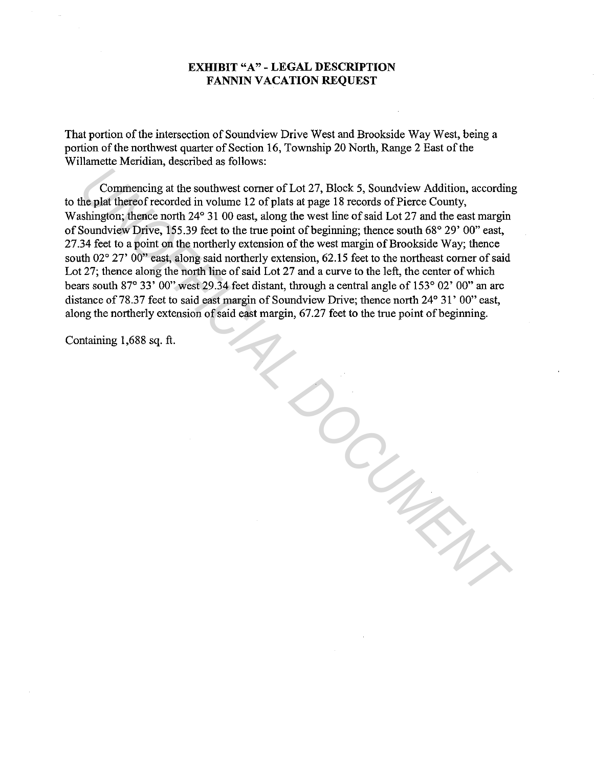## **EXHIBIT "A" - LEGAL DESCRIPTION FANNIN VACATION REQUEST**

That portion of the intersection of Soundview Drive West and Brookside Way West, being a portion of the northwest quarter of Section 16, Township 20 North, Range 2 East of the Willamette Meridian, described as follows:

Commencing at the southwest comer of Lot 27, Block 5, Soundview Addition, according to the plat thereof recorded in volume 12 of plats at page 18 records of Pierce County, Washington; thence north 24° 31 00 east, along the west line of said Lot 27 and the east margin of Soundview Drive, 155.39 feet to the true point of beginning; thence south 68° 29' 00" east, 27.34 feet to a point on the northerly extension of the west margin of Brookside Way; thence south 02° 27' 00" east, along said northerly extension, 62.15 feet to the northeast corner of said Lot 27; thence along the north line of said Lot 27 and a curve to the left, the center of which bears south 87° 33' 00" west 29.34 feet distant, through a central angle of 153° 02' 00" an arc distance of 78.37 feet to said east margin of Soundview Drive; thence north 24° 31' 00" east, along the northerly extension of said east margin, 67.27 feet to the true point of beginning.

*UNOFFICIAL DOCUMENT*

Containing 1,688 sq. ft.